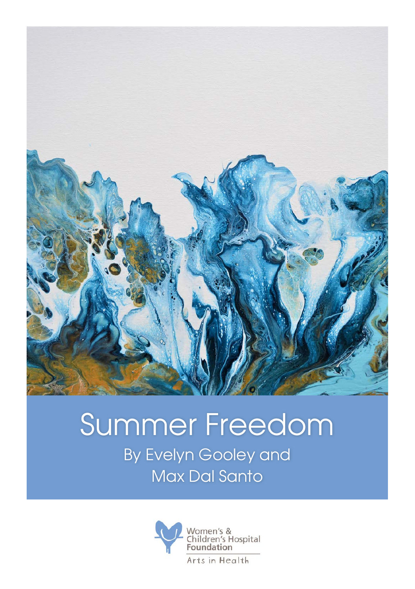

## Summer Freedom By Evelyn Gooley and Max Dal Santo

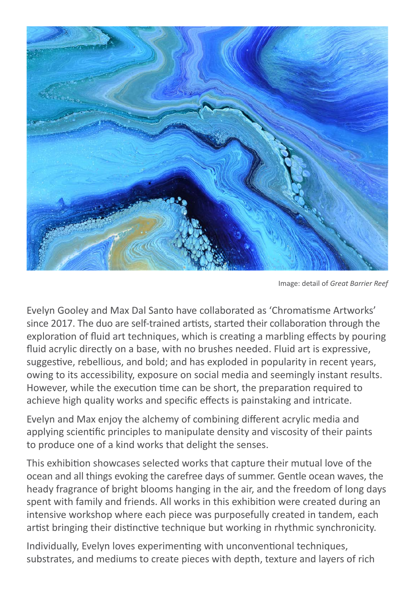

Image: detail of *Great Barrier Reef*

Evelyn Gooley and Max Dal Santo have collaborated as 'Chromatisme Artworks' since 2017. The duo are self-trained artists, started their collaboration through the exploration of fluid art techniques, which is creating a marbling effects by pouring fluid acrylic directly on a base, with no brushes needed. Fluid art is expressive, suggestive, rebellious, and bold; and has exploded in popularity in recent years, owing to its accessibility, exposure on social media and seemingly instant results. However, while the execution time can be short, the preparation required to achieve high quality works and specific effects is painstaking and intricate.

Evelyn and Max enjoy the alchemy of combining different acrylic media and applying scientific principles to manipulate density and viscosity of their paints to produce one of a kind works that delight the senses.

This exhibition showcases selected works that capture their mutual love of the ocean and all things evoking the carefree days of summer. Gentle ocean waves, the heady fragrance of bright blooms hanging in the air, and the freedom of long days spent with family and friends. All works in this exhibition were created during an intensive workshop where each piece was purposefully created in tandem, each artist bringing their distinctive technique but working in rhythmic synchronicity.

Individually, Evelyn loves experimenting with unconventional techniques, substrates, and mediums to create pieces with depth, texture and layers of rich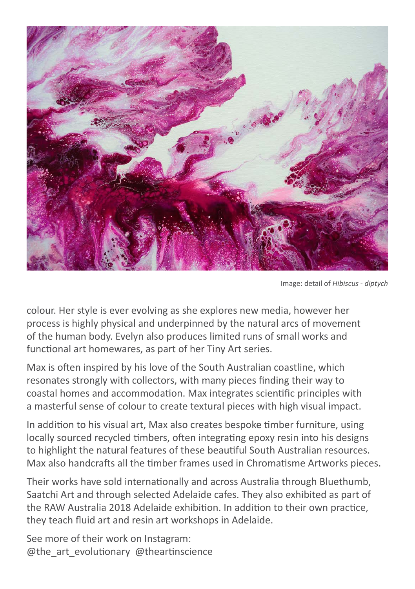

Image: detail of *Hibiscus - diptych*

colour. Her style is ever evolving as she explores new media, however her process is highly physical and underpinned by the natural arcs of movement of the human body. Evelyn also produces limited runs of small works and functional art homewares, as part of her Tiny Art series.

Max is often inspired by his love of the South Australian coastline, which resonates strongly with collectors, with many pieces finding their way to coastal homes and accommodation. Max integrates scientific principles with a masterful sense of colour to create textural pieces with high visual impact.

In addition to his visual art, Max also creates bespoke timber furniture, using locally sourced recycled timbers, often integrating epoxy resin into his designs to highlight the natural features of these beautiful South Australian resources. Max also handcrafts all the timber frames used in Chromatisme Artworks pieces.

Their works have sold internationally and across Australia through Bluethumb, Saatchi Art and through selected Adelaide cafes. They also exhibited as part of the RAW Australia 2018 Adelaide exhibition. In addition to their own practice, they teach fluid art and resin art workshops in Adelaide.

See more of their work on Instagram: @the\_art\_evolutionary @theartinscience